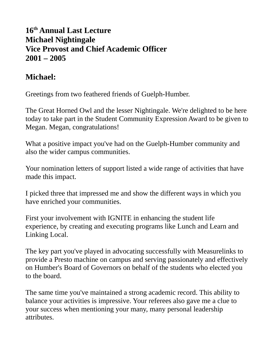## **16th Annual Last Lecture Michael Nightingale Vice Provost and Chief Academic Officer 2001 – 2005**

## **Michael:**

Greetings from two feathered friends of Guelph-Humber.

The Great Horned Owl and the lesser Nightingale. We're delighted to be here today to take part in the Student Community Expression Award to be given to Megan. Megan, congratulations!

What a positive impact you've had on the Guelph-Humber community and also the wider campus communities.

Your nomination letters of support listed a wide range of activities that have made this impact.

I picked three that impressed me and show the different ways in which you have enriched your communities.

First your involvement with IGNITE in enhancing the student life experience, by creating and executing programs like Lunch and Learn and Linking Local.

The key part you've played in advocating successfully with Measurelinks to provide a Presto machine on campus and serving passionately and effectively on Humber's Board of Governors on behalf of the students who elected you to the board.

The same time you've maintained a strong academic record. This ability to balance your activities is impressive. Your referees also gave me a clue to your success when mentioning your many, many personal leadership attributes.